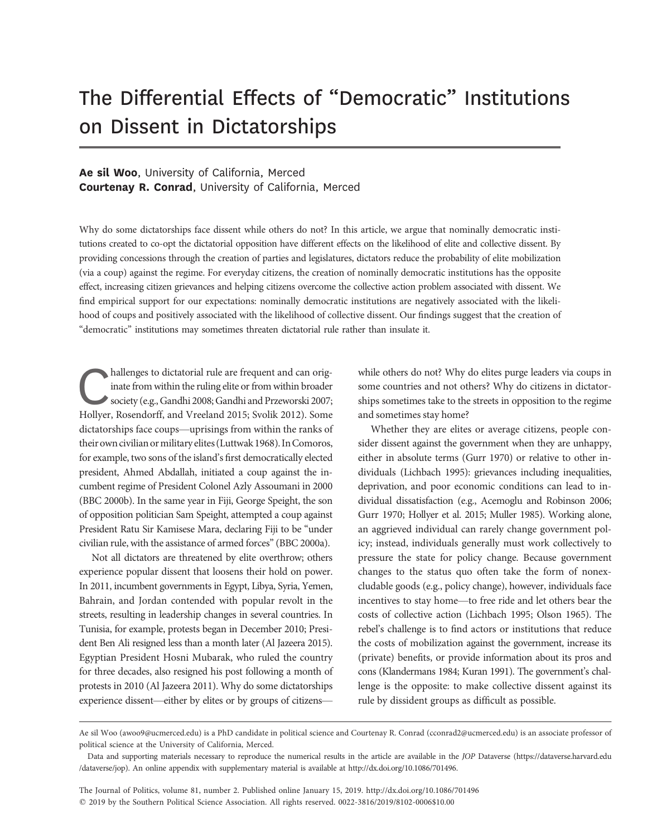# The Differential Effects of "Democratic" Institutions on Dissent in Dictatorships

# Ae sil Woo, University of California, Merced Courtenay R. Conrad, University of California, Merced

Why do some dictatorships face dissent while others do not? In this article, we argue that nominally democratic institutions created to co-opt the dictatorial opposition have different effects on the likelihood of elite and collective dissent. By providing concessions through the creation of parties and legislatures, dictators reduce the probability of elite mobilization (via a coup) against the regime. For everyday citizens, the creation of nominally democratic institutions has the opposite effect, increasing citizen grievances and helping citizens overcome the collective action problem associated with dissent. We find empirical support for our expectations: nominally democratic institutions are negatively associated with the likelihood of coups and positively associated with the likelihood of collective dissent. Our findings suggest that the creation of "democratic" institutions may sometimes threaten dictatorial rule rather than insulate it.

hallenges to dictatorial rule are frequent and can orig-<br>inate from within the ruling elite or from within broader<br>society (e.g., Gandhi 2008; Gandhi and Przeworski 2007;<br>Hollver. Rosendorff. and Vreeland 2015: Svolik 2012 inate from within the ruling elite or from within broader society (e.g., Gandhi 2008; Gandhi and Przeworski 2007; Hollyer, Rosendorff, and Vreeland 2015; Svolik 2012). Some dictatorships face coups—uprisings from within the ranks of their own civilian ormilitary elites (Luttwak 1968). InComoros, for example, two sons of the island's first democratically elected president, Ahmed Abdallah, initiated a coup against the incumbent regime of President Colonel Azly Assoumani in 2000 (BBC 2000b). In the same year in Fiji, George Speight, the son of opposition politician Sam Speight, attempted a coup against President Ratu Sir Kamisese Mara, declaring Fiji to be "under civilian rule, with the assistance of armed forces"(BBC 2000a).

Not all dictators are threatened by elite overthrow; others experience popular dissent that loosens their hold on power. In 2011, incumbent governments in Egypt, Libya, Syria, Yemen, Bahrain, and Jordan contended with popular revolt in the streets, resulting in leadership changes in several countries. In Tunisia, for example, protests began in December 2010; President Ben Ali resigned less than a month later (Al Jazeera 2015). Egyptian President Hosni Mubarak, who ruled the country for three decades, also resigned his post following a month of protests in 2010 (Al Jazeera 2011). Why do some dictatorships experience dissent—either by elites or by groups of citizenswhile others do not? Why do elites purge leaders via coups in some countries and not others? Why do citizens in dictatorships sometimes take to the streets in opposition to the regime and sometimes stay home?

Whether they are elites or average citizens, people consider dissent against the government when they are unhappy, either in absolute terms (Gurr 1970) or relative to other individuals (Lichbach 1995): grievances including inequalities, deprivation, and poor economic conditions can lead to individual dissatisfaction (e.g., Acemoglu and Robinson 2006; Gurr 1970; Hollyer et al. 2015; Muller 1985). Working alone, an aggrieved individual can rarely change government policy; instead, individuals generally must work collectively to pressure the state for policy change. Because government changes to the status quo often take the form of nonexcludable goods (e.g., policy change), however, individuals face incentives to stay home—to free ride and let others bear the costs of collective action (Lichbach 1995; Olson 1965). The rebel's challenge is to find actors or institutions that reduce the costs of mobilization against the government, increase its (private) benefits, or provide information about its pros and cons (Klandermans 1984; Kuran 1991). The government's challenge is the opposite: to make collective dissent against its rule by dissident groups as difficult as possible.

The Journal of Politics, volume 81, number 2. Published online January 15, 2019. http://dx.doi.org/10.1086/701496  $@$  2019 by the Southern Political Science Association. All rights reserved. 0022-3816/2019/8102-0006\$10.00

Ae sil Woo (awoo9@ucmerced.edu) is a PhD candidate in political science and Courtenay R. Conrad (cconrad2@ucmerced.edu) is an associate professor of political science at the University of California, Merced.

Data and supporting materials necessary to reproduce the numerical results in the article are available in the JOP Dataverse (https://dataverse.harvard.edu /dataverse/jop). An online appendix with supplementary material is available at http://dx.doi.org/10.1086/701496.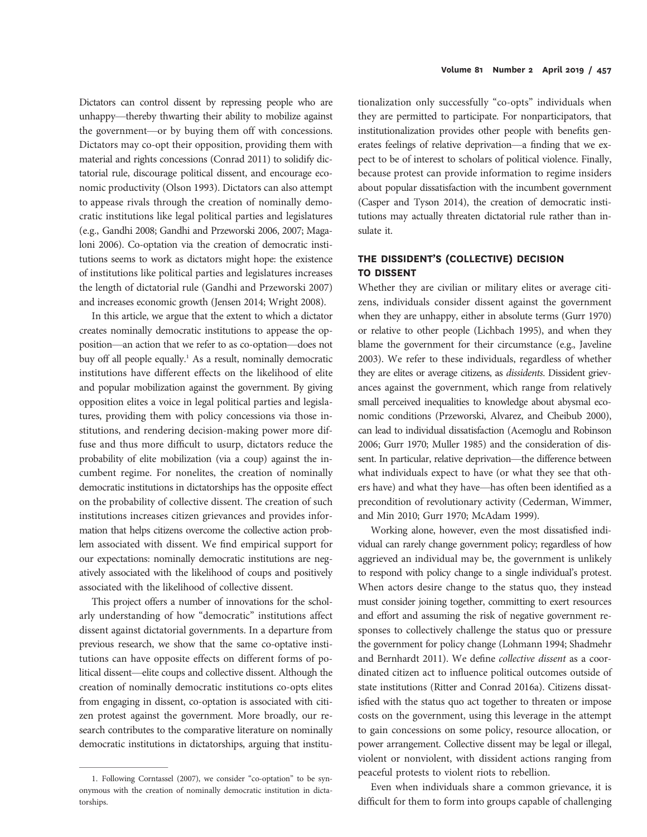Dictators can control dissent by repressing people who are unhappy—thereby thwarting their ability to mobilize against the government—or by buying them off with concessions. Dictators may co-opt their opposition, providing them with material and rights concessions (Conrad 2011) to solidify dictatorial rule, discourage political dissent, and encourage economic productivity (Olson 1993). Dictators can also attempt to appease rivals through the creation of nominally democratic institutions like legal political parties and legislatures (e.g., Gandhi 2008; Gandhi and Przeworski 2006, 2007; Magaloni 2006). Co-optation via the creation of democratic institutions seems to work as dictators might hope: the existence of institutions like political parties and legislatures increases the length of dictatorial rule (Gandhi and Przeworski 2007) and increases economic growth (Jensen 2014; Wright 2008).

In this article, we argue that the extent to which a dictator creates nominally democratic institutions to appease the opposition—an action that we refer to as co-optation—does not buy off all people equally.<sup>1</sup> As a result, nominally democratic institutions have different effects on the likelihood of elite and popular mobilization against the government. By giving opposition elites a voice in legal political parties and legislatures, providing them with policy concessions via those institutions, and rendering decision-making power more diffuse and thus more difficult to usurp, dictators reduce the probability of elite mobilization (via a coup) against the incumbent regime. For nonelites, the creation of nominally democratic institutions in dictatorships has the opposite effect on the probability of collective dissent. The creation of such institutions increases citizen grievances and provides information that helps citizens overcome the collective action problem associated with dissent. We find empirical support for our expectations: nominally democratic institutions are negatively associated with the likelihood of coups and positively associated with the likelihood of collective dissent.

This project offers a number of innovations for the scholarly understanding of how "democratic" institutions affect dissent against dictatorial governments. In a departure from previous research, we show that the same co-optative institutions can have opposite effects on different forms of political dissent—elite coups and collective dissent. Although the creation of nominally democratic institutions co-opts elites from engaging in dissent, co-optation is associated with citizen protest against the government. More broadly, our research contributes to the comparative literature on nominally democratic institutions in dictatorships, arguing that institutionalization only successfully "co-opts" individuals when they are permitted to participate. For nonparticipators, that institutionalization provides other people with benefits generates feelings of relative deprivation—a finding that we expect to be of interest to scholars of political violence. Finally, because protest can provide information to regime insiders about popular dissatisfaction with the incumbent government (Casper and Tyson 2014), the creation of democratic institutions may actually threaten dictatorial rule rather than insulate it.

# THE DISSIDENT'S (COLLECTIVE) DECISION TO DISSENT

Whether they are civilian or military elites or average citizens, individuals consider dissent against the government when they are unhappy, either in absolute terms (Gurr 1970) or relative to other people (Lichbach 1995), and when they blame the government for their circumstance (e.g., Javeline 2003). We refer to these individuals, regardless of whether they are elites or average citizens, as dissidents. Dissident grievances against the government, which range from relatively small perceived inequalities to knowledge about abysmal economic conditions (Przeworski, Alvarez, and Cheibub 2000), can lead to individual dissatisfaction (Acemoglu and Robinson 2006; Gurr 1970; Muller 1985) and the consideration of dissent. In particular, relative deprivation—the difference between what individuals expect to have (or what they see that others have) and what they have—has often been identified as a precondition of revolutionary activity (Cederman, Wimmer, and Min 2010; Gurr 1970; McAdam 1999).

Working alone, however, even the most dissatisfied individual can rarely change government policy; regardless of how aggrieved an individual may be, the government is unlikely to respond with policy change to a single individual's protest. When actors desire change to the status quo, they instead must consider joining together, committing to exert resources and effort and assuming the risk of negative government responses to collectively challenge the status quo or pressure the government for policy change (Lohmann 1994; Shadmehr and Bernhardt 2011). We define collective dissent as a coordinated citizen act to influence political outcomes outside of state institutions (Ritter and Conrad 2016a). Citizens dissatisfied with the status quo act together to threaten or impose costs on the government, using this leverage in the attempt to gain concessions on some policy, resource allocation, or power arrangement. Collective dissent may be legal or illegal, violent or nonviolent, with dissident actions ranging from peaceful protests to violent riots to rebellion.

Even when individuals share a common grievance, it is difficult for them to form into groups capable of challenging

<sup>1.</sup> Following Corntassel (2007), we consider "co-optation" to be synonymous with the creation of nominally democratic institution in dictatorships.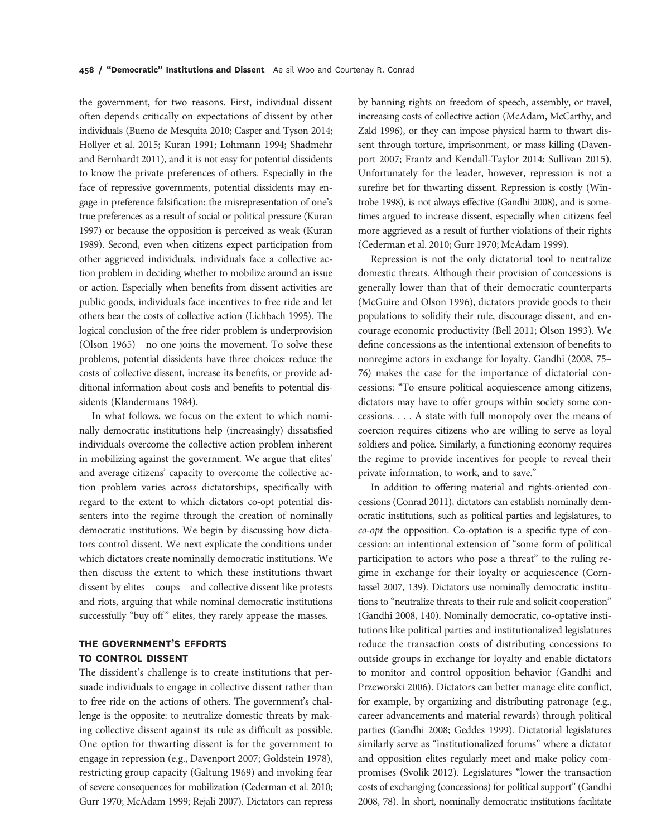the government, for two reasons. First, individual dissent often depends critically on expectations of dissent by other individuals (Bueno de Mesquita 2010; Casper and Tyson 2014; Hollyer et al. 2015; Kuran 1991; Lohmann 1994; Shadmehr and Bernhardt 2011), and it is not easy for potential dissidents to know the private preferences of others. Especially in the face of repressive governments, potential dissidents may engage in preference falsification: the misrepresentation of one's true preferences as a result of social or political pressure (Kuran 1997) or because the opposition is perceived as weak (Kuran 1989). Second, even when citizens expect participation from other aggrieved individuals, individuals face a collective action problem in deciding whether to mobilize around an issue or action. Especially when benefits from dissent activities are public goods, individuals face incentives to free ride and let others bear the costs of collective action (Lichbach 1995). The logical conclusion of the free rider problem is underprovision (Olson 1965)—no one joins the movement. To solve these problems, potential dissidents have three choices: reduce the costs of collective dissent, increase its benefits, or provide additional information about costs and benefits to potential dissidents (Klandermans 1984).

In what follows, we focus on the extent to which nominally democratic institutions help (increasingly) dissatisfied individuals overcome the collective action problem inherent in mobilizing against the government. We argue that elites' and average citizens' capacity to overcome the collective action problem varies across dictatorships, specifically with regard to the extent to which dictators co-opt potential dissenters into the regime through the creation of nominally democratic institutions. We begin by discussing how dictators control dissent. We next explicate the conditions under which dictators create nominally democratic institutions. We then discuss the extent to which these institutions thwart dissent by elites—coups—and collective dissent like protests and riots, arguing that while nominal democratic institutions successfully "buy off" elites, they rarely appease the masses.

# THE GOVERNMENT'S EFFORTS TO CONTROL DISSENT

The dissident's challenge is to create institutions that persuade individuals to engage in collective dissent rather than to free ride on the actions of others. The government's challenge is the opposite: to neutralize domestic threats by making collective dissent against its rule as difficult as possible. One option for thwarting dissent is for the government to engage in repression (e.g., Davenport 2007; Goldstein 1978), restricting group capacity (Galtung 1969) and invoking fear of severe consequences for mobilization (Cederman et al. 2010; Gurr 1970; McAdam 1999; Rejali 2007). Dictators can repress

by banning rights on freedom of speech, assembly, or travel, increasing costs of collective action (McAdam, McCarthy, and Zald 1996), or they can impose physical harm to thwart dissent through torture, imprisonment, or mass killing (Davenport 2007; Frantz and Kendall-Taylor 2014; Sullivan 2015). Unfortunately for the leader, however, repression is not a surefire bet for thwarting dissent. Repression is costly (Wintrobe 1998), is not always effective (Gandhi 2008), and is sometimes argued to increase dissent, especially when citizens feel more aggrieved as a result of further violations of their rights (Cederman et al. 2010; Gurr 1970; McAdam 1999).

Repression is not the only dictatorial tool to neutralize domestic threats. Although their provision of concessions is generally lower than that of their democratic counterparts (McGuire and Olson 1996), dictators provide goods to their populations to solidify their rule, discourage dissent, and encourage economic productivity (Bell 2011; Olson 1993). We define concessions as the intentional extension of benefits to nonregime actors in exchange for loyalty. Gandhi (2008, 75– 76) makes the case for the importance of dictatorial concessions: "To ensure political acquiescence among citizens, dictators may have to offer groups within society some concessions. . . . A state with full monopoly over the means of coercion requires citizens who are willing to serve as loyal soldiers and police. Similarly, a functioning economy requires the regime to provide incentives for people to reveal their private information, to work, and to save."

In addition to offering material and rights-oriented concessions (Conrad 2011), dictators can establish nominally democratic institutions, such as political parties and legislatures, to co-opt the opposition. Co-optation is a specific type of concession: an intentional extension of "some form of political participation to actors who pose a threat" to the ruling regime in exchange for their loyalty or acquiescence (Corntassel 2007, 139). Dictators use nominally democratic institutions to "neutralize threats to their rule and solicit cooperation" (Gandhi 2008, 140). Nominally democratic, co-optative institutions like political parties and institutionalized legislatures reduce the transaction costs of distributing concessions to outside groups in exchange for loyalty and enable dictators to monitor and control opposition behavior (Gandhi and Przeworski 2006). Dictators can better manage elite conflict, for example, by organizing and distributing patronage (e.g., career advancements and material rewards) through political parties (Gandhi 2008; Geddes 1999). Dictatorial legislatures similarly serve as "institutionalized forums" where a dictator and opposition elites regularly meet and make policy compromises (Svolik 2012). Legislatures "lower the transaction costs of exchanging (concessions) for political support"(Gandhi 2008, 78). In short, nominally democratic institutions facilitate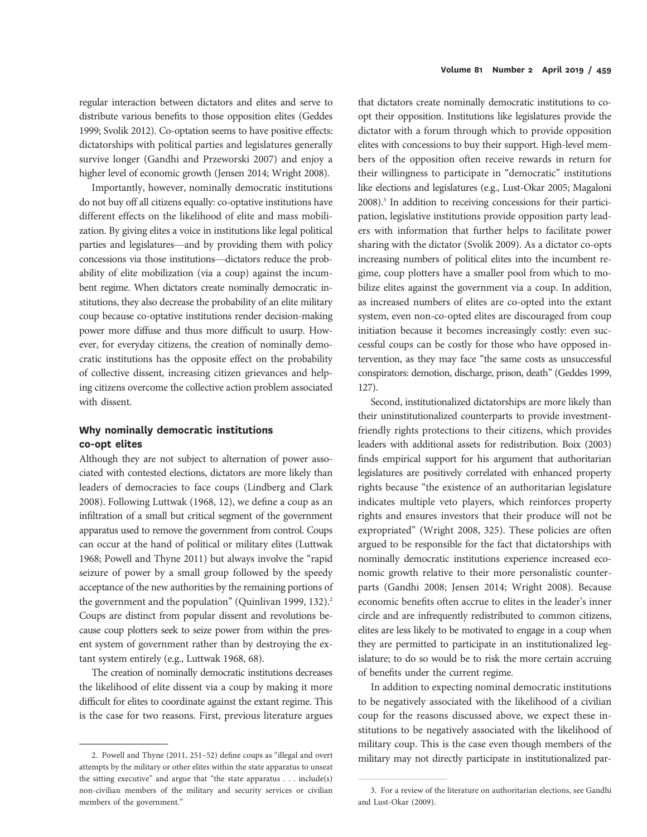regular interaction between dictators and elites and serve to distribute various benefits to those opposition elites (Geddes 1999; Svolik 2012). Co-optation seems to have positive effects: dictatorships with political parties and legislatures generally survive longer (Gandhi and Przeworski 2007) and enjoy a higher level of economic growth (Jensen 2014; Wright 2008).

Importantly, however, nominally democratic institutions do not buy off all citizens equally: co-optative institutions have different effects on the likelihood of elite and mass mobilization. By giving elites a voice in institutions like legal political parties and legislatures—and by providing them with policy concessions via those institutions—dictators reduce the probability of elite mobilization (via a coup) against the incumbent regime. When dictators create nominally democratic institutions, they also decrease the probability of an elite military coup because co-optative institutions render decision-making power more diffuse and thus more difficult to usurp. However, for everyday citizens, the creation of nominally democratic institutions has the opposite effect on the probability of collective dissent, increasing citizen grievances and helping citizens overcome the collective action problem associated with dissent.

# Why nominally democratic institutions co-opt elites

Although they are not subject to alternation of power associated with contested elections, dictators are more likely than leaders of democracies to face coups (Lindberg and Clark 2008). Following Luttwak (1968, 12), we define a coup as an infiltration of a small but critical segment of the government apparatus used to remove the government from control. Coups can occur at the hand of political or military elites (Luttwak 1968; Powell and Thyne 2011) but always involve the "rapid seizure of power by a small group followed by the speedy acceptance of the new authorities by the remaining portions of the government and the population" (Quinlivan 1999, 132).<sup>2</sup> Coups are distinct from popular dissent and revolutions because coup plotters seek to seize power from within the present system of government rather than by destroying the extant system entirely (e.g., Luttwak 1968, 68).

The creation of nominally democratic institutions decreases the likelihood of elite dissent via a coup by making it more difficult for elites to coordinate against the extant regime. This is the case for two reasons. First, previous literature argues that dictators create nominally democratic institutions to coopt their opposition. Institutions like legislatures provide the dictator with a forum through which to provide opposition elites with concessions to buy their support. High-level members of the opposition often receive rewards in return for their willingness to participate in "democratic" institutions like elections and legislatures (e.g., Lust-Okar 2005; Magaloni 2008).<sup>3</sup> In addition to receiving concessions for their participation, legislative institutions provide opposition party leaders with information that further helps to facilitate power sharing with the dictator (Svolik 2009). As a dictator co-opts increasing numbers of political elites into the incumbent regime, coup plotters have a smaller pool from which to mobilize elites against the government via a coup. In addition, as increased numbers of elites are co-opted into the extant system, even non-co-opted elites are discouraged from coup initiation because it becomes increasingly costly: even successful coups can be costly for those who have opposed intervention, as they may face "the same costs as unsuccessful conspirators: demotion, discharge, prison, death" (Geddes 1999, 127).

Second, institutionalized dictatorships are more likely than their uninstitutionalized counterparts to provide investmentfriendly rights protections to their citizens, which provides leaders with additional assets for redistribution. Boix (2003) finds empirical support for his argument that authoritarian legislatures are positively correlated with enhanced property rights because "the existence of an authoritarian legislature indicates multiple veto players, which reinforces property rights and ensures investors that their produce will not be expropriated" (Wright 2008, 325). These policies are often argued to be responsible for the fact that dictatorships with nominally democratic institutions experience increased economic growth relative to their more personalistic counterparts (Gandhi 2008; Jensen 2014; Wright 2008). Because economic benefits often accrue to elites in the leader's inner circle and are infrequently redistributed to common citizens, elites are less likely to be motivated to engage in a coup when they are permitted to participate in an institutionalized legislature; to do so would be to risk the more certain accruing of benefits under the current regime.

In addition to expecting nominal democratic institutions to be negatively associated with the likelihood of a civilian coup for the reasons discussed above, we expect these institutions to be negatively associated with the likelihood of military coup. This is the case even though members of the 2. Powell and Thyne (2011, 251-52) define coups as "illegal and overt military may not directly participate in institutionalized par-

attempts by the military or other elites within the state apparatus to unseat the sitting executive" and argue that "the state apparatus . . . include(s) non-civilian members of the military and security services or civilian members of the government."

<sup>3.</sup> For a review of the literature on authoritarian elections, see Gandhi and Lust-Okar (2009).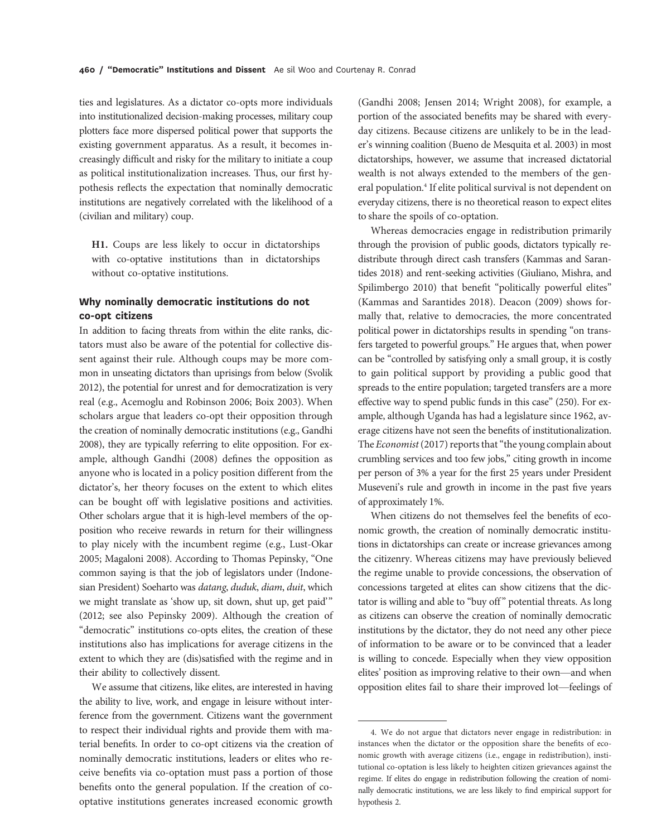ties and legislatures. As a dictator co-opts more individuals into institutionalized decision-making processes, military coup plotters face more dispersed political power that supports the existing government apparatus. As a result, it becomes increasingly difficult and risky for the military to initiate a coup as political institutionalization increases. Thus, our first hypothesis reflects the expectation that nominally democratic institutions are negatively correlated with the likelihood of a (civilian and military) coup.

H1. Coups are less likely to occur in dictatorships with co-optative institutions than in dictatorships without co-optative institutions.

## Why nominally democratic institutions do not co-opt citizens

In addition to facing threats from within the elite ranks, dictators must also be aware of the potential for collective dissent against their rule. Although coups may be more common in unseating dictators than uprisings from below (Svolik 2012), the potential for unrest and for democratization is very real (e.g., Acemoglu and Robinson 2006; Boix 2003). When scholars argue that leaders co-opt their opposition through the creation of nominally democratic institutions (e.g., Gandhi 2008), they are typically referring to elite opposition. For example, although Gandhi (2008) defines the opposition as anyone who is located in a policy position different from the dictator's, her theory focuses on the extent to which elites can be bought off with legislative positions and activities. Other scholars argue that it is high-level members of the opposition who receive rewards in return for their willingness to play nicely with the incumbent regime (e.g., Lust-Okar 2005; Magaloni 2008). According to Thomas Pepinsky, "One common saying is that the job of legislators under (Indonesian President) Soeharto was datang, duduk, diam, duit, which we might translate as 'show up, sit down, shut up, get paid'" (2012; see also Pepinsky 2009). Although the creation of "democratic" institutions co-opts elites, the creation of these institutions also has implications for average citizens in the extent to which they are (dis)satisfied with the regime and in their ability to collectively dissent.

We assume that citizens, like elites, are interested in having the ability to live, work, and engage in leisure without interference from the government. Citizens want the government to respect their individual rights and provide them with material benefits. In order to co-opt citizens via the creation of nominally democratic institutions, leaders or elites who receive benefits via co-optation must pass a portion of those benefits onto the general population. If the creation of cooptative institutions generates increased economic growth

(Gandhi 2008; Jensen 2014; Wright 2008), for example, a portion of the associated benefits may be shared with everyday citizens. Because citizens are unlikely to be in the leader's winning coalition (Bueno de Mesquita et al. 2003) in most dictatorships, however, we assume that increased dictatorial wealth is not always extended to the members of the general population.<sup>4</sup> If elite political survival is not dependent on everyday citizens, there is no theoretical reason to expect elites to share the spoils of co-optation.

Whereas democracies engage in redistribution primarily through the provision of public goods, dictators typically redistribute through direct cash transfers (Kammas and Sarantides 2018) and rent-seeking activities (Giuliano, Mishra, and Spilimbergo 2010) that benefit "politically powerful elites" (Kammas and Sarantides 2018). Deacon (2009) shows formally that, relative to democracies, the more concentrated political power in dictatorships results in spending "on transfers targeted to powerful groups." He argues that, when power can be "controlled by satisfying only a small group, it is costly to gain political support by providing a public good that spreads to the entire population; targeted transfers are a more effective way to spend public funds in this case" (250). For example, although Uganda has had a legislature since 1962, average citizens have not seen the benefits of institutionalization. The Economist (2017) reports that "the young complain about crumbling services and too few jobs," citing growth in income per person of 3% a year for the first 25 years under President Museveni's rule and growth in income in the past five years of approximately 1%.

When citizens do not themselves feel the benefits of economic growth, the creation of nominally democratic institutions in dictatorships can create or increase grievances among the citizenry. Whereas citizens may have previously believed the regime unable to provide concessions, the observation of concessions targeted at elites can show citizens that the dictator is willing and able to "buy off" potential threats. As long as citizens can observe the creation of nominally democratic institutions by the dictator, they do not need any other piece of information to be aware or to be convinced that a leader is willing to concede. Especially when they view opposition elites' position as improving relative to their own—and when opposition elites fail to share their improved lot—feelings of

<sup>4.</sup> We do not argue that dictators never engage in redistribution: in instances when the dictator or the opposition share the benefits of economic growth with average citizens (i.e., engage in redistribution), institutional co-optation is less likely to heighten citizen grievances against the regime. If elites do engage in redistribution following the creation of nominally democratic institutions, we are less likely to find empirical support for hypothesis 2.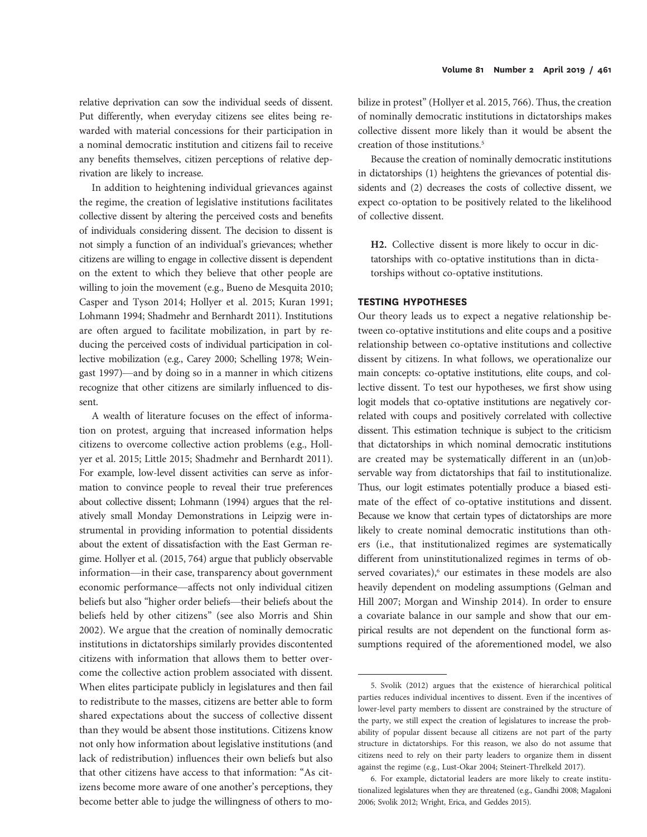relative deprivation can sow the individual seeds of dissent. Put differently, when everyday citizens see elites being rewarded with material concessions for their participation in a nominal democratic institution and citizens fail to receive any benefits themselves, citizen perceptions of relative deprivation are likely to increase.

In addition to heightening individual grievances against the regime, the creation of legislative institutions facilitates collective dissent by altering the perceived costs and benefits of individuals considering dissent. The decision to dissent is not simply a function of an individual's grievances; whether citizens are willing to engage in collective dissent is dependent on the extent to which they believe that other people are willing to join the movement (e.g., Bueno de Mesquita 2010; Casper and Tyson 2014; Hollyer et al. 2015; Kuran 1991; Lohmann 1994; Shadmehr and Bernhardt 2011). Institutions are often argued to facilitate mobilization, in part by reducing the perceived costs of individual participation in collective mobilization (e.g., Carey 2000; Schelling 1978; Weingast 1997)—and by doing so in a manner in which citizens recognize that other citizens are similarly influenced to dissent.

A wealth of literature focuses on the effect of information on protest, arguing that increased information helps citizens to overcome collective action problems (e.g., Hollyer et al. 2015; Little 2015; Shadmehr and Bernhardt 2011). For example, low-level dissent activities can serve as information to convince people to reveal their true preferences about collective dissent; Lohmann (1994) argues that the relatively small Monday Demonstrations in Leipzig were instrumental in providing information to potential dissidents about the extent of dissatisfaction with the East German regime. Hollyer et al. (2015, 764) argue that publicly observable information—in their case, transparency about government economic performance—affects not only individual citizen beliefs but also "higher order beliefs—their beliefs about the beliefs held by other citizens" (see also Morris and Shin 2002). We argue that the creation of nominally democratic institutions in dictatorships similarly provides discontented citizens with information that allows them to better overcome the collective action problem associated with dissent. When elites participate publicly in legislatures and then fail to redistribute to the masses, citizens are better able to form shared expectations about the success of collective dissent than they would be absent those institutions. Citizens know not only how information about legislative institutions (and lack of redistribution) influences their own beliefs but also that other citizens have access to that information: "As citizens become more aware of one another's perceptions, they become better able to judge the willingness of others to mobilize in protest" (Hollyer et al. 2015, 766). Thus, the creation of nominally democratic institutions in dictatorships makes collective dissent more likely than it would be absent the creation of those institutions.5

Because the creation of nominally democratic institutions in dictatorships (1) heightens the grievances of potential dissidents and (2) decreases the costs of collective dissent, we expect co-optation to be positively related to the likelihood of collective dissent.

H2. Collective dissent is more likely to occur in dictatorships with co-optative institutions than in dictatorships without co-optative institutions.

## TESTING HYPOTHESES

Our theory leads us to expect a negative relationship between co-optative institutions and elite coups and a positive relationship between co-optative institutions and collective dissent by citizens. In what follows, we operationalize our main concepts: co-optative institutions, elite coups, and collective dissent. To test our hypotheses, we first show using logit models that co-optative institutions are negatively correlated with coups and positively correlated with collective dissent. This estimation technique is subject to the criticism that dictatorships in which nominal democratic institutions are created may be systematically different in an (un)observable way from dictatorships that fail to institutionalize. Thus, our logit estimates potentially produce a biased estimate of the effect of co-optative institutions and dissent. Because we know that certain types of dictatorships are more likely to create nominal democratic institutions than others (i.e., that institutionalized regimes are systematically different from uninstitutionalized regimes in terms of observed covariates),<sup>6</sup> our estimates in these models are also heavily dependent on modeling assumptions (Gelman and Hill 2007; Morgan and Winship 2014). In order to ensure a covariate balance in our sample and show that our empirical results are not dependent on the functional form assumptions required of the aforementioned model, we also

<sup>5.</sup> Svolik (2012) argues that the existence of hierarchical political parties reduces individual incentives to dissent. Even if the incentives of lower-level party members to dissent are constrained by the structure of the party, we still expect the creation of legislatures to increase the probability of popular dissent because all citizens are not part of the party structure in dictatorships. For this reason, we also do not assume that citizens need to rely on their party leaders to organize them in dissent against the regime (e.g., Lust-Okar 2004; Steinert-Threlkeld 2017).

<sup>6.</sup> For example, dictatorial leaders are more likely to create institutionalized legislatures when they are threatened (e.g., Gandhi 2008; Magaloni 2006; Svolik 2012; Wright, Erica, and Geddes 2015).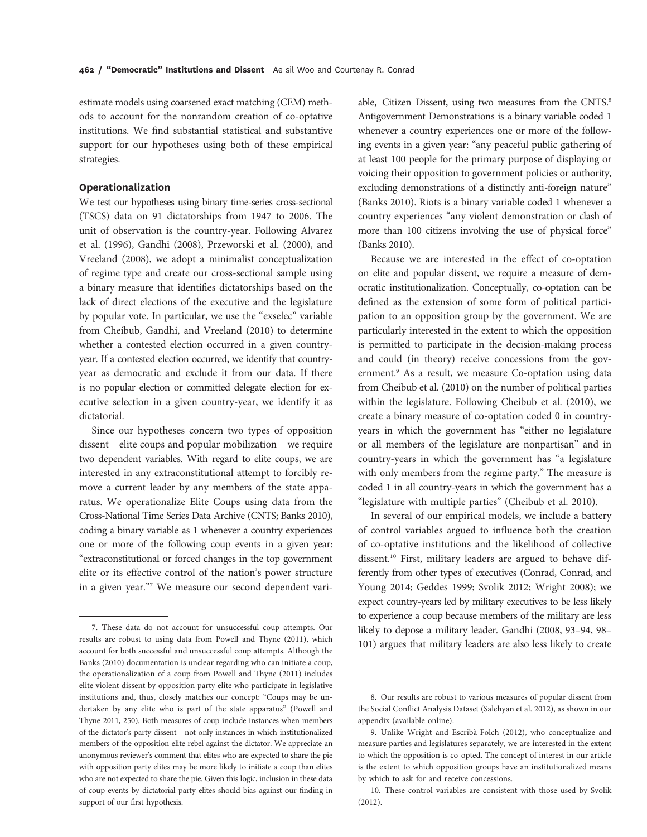estimate models using coarsened exact matching (CEM) methods to account for the nonrandom creation of co-optative institutions. We find substantial statistical and substantive support for our hypotheses using both of these empirical strategies.

#### Operationalization

We test our hypotheses using binary time-series cross-sectional (TSCS) data on 91 dictatorships from 1947 to 2006. The unit of observation is the country-year. Following Alvarez et al. (1996), Gandhi (2008), Przeworski et al. (2000), and Vreeland (2008), we adopt a minimalist conceptualization of regime type and create our cross-sectional sample using a binary measure that identifies dictatorships based on the lack of direct elections of the executive and the legislature by popular vote. In particular, we use the "exselec" variable from Cheibub, Gandhi, and Vreeland (2010) to determine whether a contested election occurred in a given countryyear. If a contested election occurred, we identify that countryyear as democratic and exclude it from our data. If there is no popular election or committed delegate election for executive selection in a given country-year, we identify it as dictatorial.

Since our hypotheses concern two types of opposition dissent—elite coups and popular mobilization—we require two dependent variables. With regard to elite coups, we are interested in any extraconstitutional attempt to forcibly remove a current leader by any members of the state apparatus. We operationalize Elite Coups using data from the Cross-National Time Series Data Archive (CNTS; Banks 2010), coding a binary variable as 1 whenever a country experiences one or more of the following coup events in a given year: "extraconstitutional or forced changes in the top government elite or its effective control of the nation's power structure in a given year."<sup>7</sup> We measure our second dependent variable, Citizen Dissent, using two measures from the CNTS.<sup>8</sup> Antigovernment Demonstrations is a binary variable coded 1 whenever a country experiences one or more of the following events in a given year: "any peaceful public gathering of at least 100 people for the primary purpose of displaying or voicing their opposition to government policies or authority, excluding demonstrations of a distinctly anti-foreign nature" (Banks 2010). Riots is a binary variable coded 1 whenever a country experiences "any violent demonstration or clash of more than 100 citizens involving the use of physical force" (Banks 2010).

Because we are interested in the effect of co-optation on elite and popular dissent, we require a measure of democratic institutionalization. Conceptually, co-optation can be defined as the extension of some form of political participation to an opposition group by the government. We are particularly interested in the extent to which the opposition is permitted to participate in the decision-making process and could (in theory) receive concessions from the government.<sup>9</sup> As a result, we measure Co-optation using data from Cheibub et al. (2010) on the number of political parties within the legislature. Following Cheibub et al. (2010), we create a binary measure of co-optation coded 0 in countryyears in which the government has "either no legislature or all members of the legislature are nonpartisan" and in country-years in which the government has "a legislature with only members from the regime party." The measure is coded 1 in all country-years in which the government has a "legislature with multiple parties" (Cheibub et al. 2010).

In several of our empirical models, we include a battery of control variables argued to influence both the creation of co-optative institutions and the likelihood of collective dissent.<sup>10</sup> First, military leaders are argued to behave differently from other types of executives (Conrad, Conrad, and Young 2014; Geddes 1999; Svolik 2012; Wright 2008); we expect country-years led by military executives to be less likely to experience a coup because members of the military are less likely to depose a military leader. Gandhi (2008, 93–94, 98– 101) argues that military leaders are also less likely to create

<sup>7.</sup> These data do not account for unsuccessful coup attempts. Our results are robust to using data from Powell and Thyne (2011), which account for both successful and unsuccessful coup attempts. Although the Banks (2010) documentation is unclear regarding who can initiate a coup, the operationalization of a coup from Powell and Thyne (2011) includes elite violent dissent by opposition party elite who participate in legislative institutions and, thus, closely matches our concept: "Coups may be undertaken by any elite who is part of the state apparatus" (Powell and Thyne 2011, 250). Both measures of coup include instances when members of the dictator's party dissent—not only instances in which institutionalized members of the opposition elite rebel against the dictator. We appreciate an anonymous reviewer's comment that elites who are expected to share the pie with opposition party elites may be more likely to initiate a coup than elites who are not expected to share the pie. Given this logic, inclusion in these data of coup events by dictatorial party elites should bias against our finding in support of our first hypothesis.

<sup>8.</sup> Our results are robust to various measures of popular dissent from the Social Conflict Analysis Dataset (Salehyan et al. 2012), as shown in our appendix (available online).

<sup>9.</sup> Unlike Wright and Escribà-Folch (2012), who conceptualize and measure parties and legislatures separately, we are interested in the extent to which the opposition is co-opted. The concept of interest in our article is the extent to which opposition groups have an institutionalized means by which to ask for and receive concessions.

<sup>10.</sup> These control variables are consistent with those used by Svolik (2012).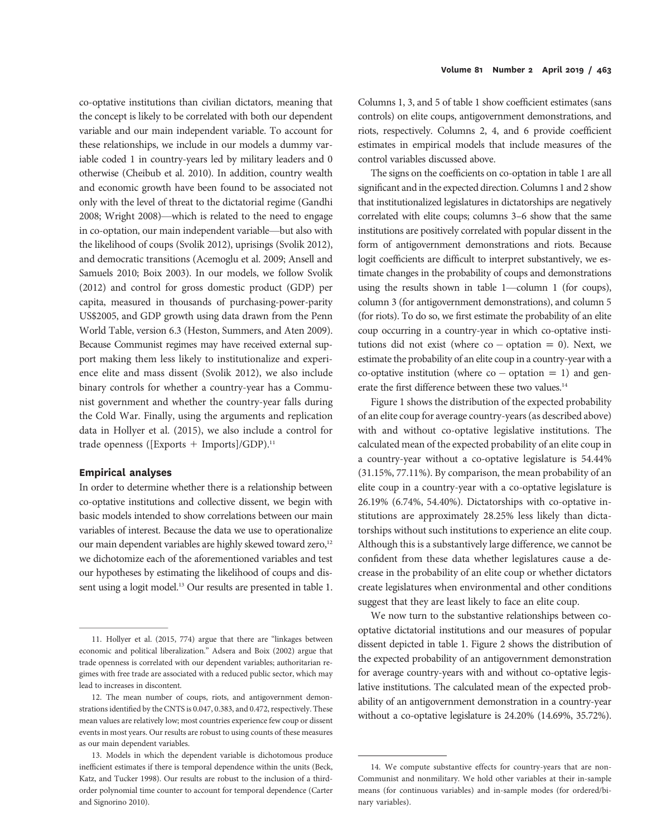co-optative institutions than civilian dictators, meaning that the concept is likely to be correlated with both our dependent variable and our main independent variable. To account for these relationships, we include in our models a dummy variable coded 1 in country-years led by military leaders and 0 otherwise (Cheibub et al. 2010). In addition, country wealth and economic growth have been found to be associated not only with the level of threat to the dictatorial regime (Gandhi 2008; Wright 2008)—which is related to the need to engage in co-optation, our main independent variable—but also with the likelihood of coups (Svolik 2012), uprisings (Svolik 2012), and democratic transitions (Acemoglu et al. 2009; Ansell and Samuels 2010; Boix 2003). In our models, we follow Svolik (2012) and control for gross domestic product (GDP) per capita, measured in thousands of purchasing-power-parity US\$2005, and GDP growth using data drawn from the Penn World Table, version 6.3 (Heston, Summers, and Aten 2009). Because Communist regimes may have received external support making them less likely to institutionalize and experience elite and mass dissent (Svolik 2012), we also include binary controls for whether a country-year has a Communist government and whether the country-year falls during the Cold War. Finally, using the arguments and replication data in Hollyer et al. (2015), we also include a control for trade openness ([Exports + Imports]/GDP).<sup>11</sup>

#### Empirical analyses

In order to determine whether there is a relationship between co-optative institutions and collective dissent, we begin with basic models intended to show correlations between our main variables of interest. Because the data we use to operationalize our main dependent variables are highly skewed toward zero,<sup>12</sup> we dichotomize each of the aforementioned variables and test our hypotheses by estimating the likelihood of coups and dissent using a logit model.<sup>13</sup> Our results are presented in table 1. Columns 1, 3, and 5 of table 1 show coefficient estimates (sans controls) on elite coups, antigovernment demonstrations, and riots, respectively. Columns 2, 4, and 6 provide coefficient estimates in empirical models that include measures of the control variables discussed above.

The signs on the coefficients on co-optation in table 1 are all significant and in the expected direction. Columns 1 and 2 show that institutionalized legislatures in dictatorships are negatively correlated with elite coups; columns 3–6 show that the same institutions are positively correlated with popular dissent in the form of antigovernment demonstrations and riots. Because logit coefficients are difficult to interpret substantively, we estimate changes in the probability of coups and demonstrations using the results shown in table 1—column 1 (for coups), column 3 (for antigovernment demonstrations), and column 5 (for riots). To do so, we first estimate the probability of an elite coup occurring in a country-year in which co-optative institutions did not exist (where  $co -$  optation = 0). Next, we estimate the probability of an elite coup in a country-year with a  $co$ -optative institution (where  $co$  – optation = 1) and generate the first difference between these two values.<sup>14</sup>

Figure 1 shows the distribution of the expected probability of an elite coup for average country-years (as described above) with and without co-optative legislative institutions. The calculated mean of the expected probability of an elite coup in a country-year without a co-optative legislature is 54.44% (31.15%, 77.11%). By comparison, the mean probability of an elite coup in a country-year with a co-optative legislature is 26.19% (6.74%, 54.40%). Dictatorships with co-optative institutions are approximately 28.25% less likely than dictatorships without such institutions to experience an elite coup. Although this is a substantively large difference, we cannot be confident from these data whether legislatures cause a decrease in the probability of an elite coup or whether dictators create legislatures when environmental and other conditions suggest that they are least likely to face an elite coup.

We now turn to the substantive relationships between cooptative dictatorial institutions and our measures of popular dissent depicted in table 1. Figure 2 shows the distribution of the expected probability of an antigovernment demonstration for average country-years with and without co-optative legislative institutions. The calculated mean of the expected probability of an antigovernment demonstration in a country-year without a co-optative legislature is 24.20% (14.69%, 35.72%).

<sup>11.</sup> Hollyer et al. (2015, 774) argue that there are "linkages between economic and political liberalization." Adsera and Boix (2002) argue that trade openness is correlated with our dependent variables; authoritarian regimes with free trade are associated with a reduced public sector, which may lead to increases in discontent.

<sup>12.</sup> The mean number of coups, riots, and antigovernment demonstrations identified by the CNTS is 0.047, 0.383, and 0.472, respectively. These mean values are relatively low; most countries experience few coup or dissent events in most years. Our results are robust to using counts of these measures as our main dependent variables.

<sup>13.</sup> Models in which the dependent variable is dichotomous produce inefficient estimates if there is temporal dependence within the units (Beck, Katz, and Tucker 1998). Our results are robust to the inclusion of a thirdorder polynomial time counter to account for temporal dependence (Carter and Signorino 2010).

<sup>14.</sup> We compute substantive effects for country-years that are non-Communist and nonmilitary. We hold other variables at their in-sample means (for continuous variables) and in-sample modes (for ordered/binary variables).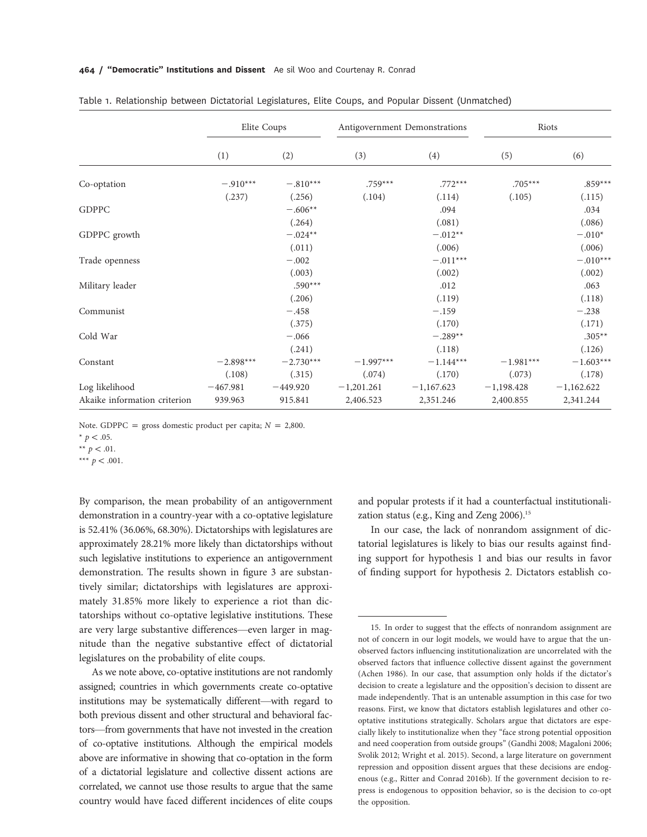#### 464 / "Democratic" Institutions and Dissent Ae sil Woo and Courtenay R. Conrad

|                              | Elite Coups |             | Antigovernment Demonstrations |              | Riots        |              |
|------------------------------|-------------|-------------|-------------------------------|--------------|--------------|--------------|
|                              | (1)         | (2)         | (3)                           | (4)          | (5)          | (6)          |
| Co-optation                  | $-.910***$  | $-.810***$  | $.759***$                     | $.772***$    | $.705***$    | $.859***$    |
|                              | (.237)      | (.256)      | (.104)                        | (.114)       | (.105)       | (.115)       |
| <b>GDPPC</b>                 |             | $-.606**$   |                               | .094         |              | .034         |
|                              |             | (.264)      |                               | (.081)       |              | (.086)       |
| GDPPC growth                 |             | $-.024**$   |                               | $-.012**$    |              | $-.010*$     |
|                              |             | (.011)      |                               | (.006)       |              | (.006)       |
| Trade openness               |             | $-.002$     |                               | $-.011***$   |              | $-.010***$   |
|                              |             | (.003)      |                               | (.002)       |              | (.002)       |
| Military leader              |             | $.590***$   |                               | .012         |              | .063         |
|                              |             | (.206)      |                               | (.119)       |              | (.118)       |
| Communist                    |             | $-.458$     |                               | $-.159$      |              | $-.238$      |
|                              |             | (.375)      |                               | (.170)       |              | (.171)       |
| Cold War                     |             | $-.066$     |                               | $-.289**$    |              | $.305**$     |
|                              |             | (.241)      |                               | (.118)       |              | (.126)       |
| Constant                     | $-2.898***$ | $-2.730***$ | $-1.997***$                   | $-1.144***$  | $-1.981***$  | $-1.603***$  |
|                              | (.108)      | (.315)      | (.074)                        | (.170)       | (.073)       | (.178)       |
| Log likelihood               | $-467.981$  | $-449.920$  | $-1,201.261$                  | $-1,167.623$ | $-1,198.428$ | $-1,162.622$ |
| Akaike information criterion | 939.963     | 915.841     | 2,406.523                     | 2,351.246    | 2,400.855    | 2,341.244    |

Note. GDPPC = gross domestic product per capita;  $N = 2,800$ .

\*\*\*  $p < .001$ .

By comparison, the mean probability of an antigovernment demonstration in a country-year with a co-optative legislature is 52.41% (36.06%, 68.30%). Dictatorships with legislatures are approximately 28.21% more likely than dictatorships without such legislative institutions to experience an antigovernment demonstration. The results shown in figure 3 are substantively similar; dictatorships with legislatures are approximately 31.85% more likely to experience a riot than dictatorships without co-optative legislative institutions. These are very large substantive differences—even larger in magnitude than the negative substantive effect of dictatorial legislatures on the probability of elite coups.

As we note above, co-optative institutions are not randomly assigned; countries in which governments create co-optative institutions may be systematically different—with regard to both previous dissent and other structural and behavioral factors—from governments that have not invested in the creation of co-optative institutions. Although the empirical models above are informative in showing that co-optation in the form of a dictatorial legislature and collective dissent actions are correlated, we cannot use those results to argue that the same country would have faced different incidences of elite coups

and popular protests if it had a counterfactual institutionalization status (e.g., King and Zeng 2006).<sup>15</sup>

In our case, the lack of nonrandom assignment of dictatorial legislatures is likely to bias our results against finding support for hypothesis 1 and bias our results in favor of finding support for hypothesis 2. Dictators establish co-

<sup>\*</sup>  $p < .05$ .

<sup>\*\*</sup>  $p < .01$ .

<sup>15.</sup> In order to suggest that the effects of nonrandom assignment are not of concern in our logit models, we would have to argue that the unobserved factors influencing institutionalization are uncorrelated with the observed factors that influence collective dissent against the government (Achen 1986). In our case, that assumption only holds if the dictator's decision to create a legislature and the opposition's decision to dissent are made independently. That is an untenable assumption in this case for two reasons. First, we know that dictators establish legislatures and other cooptative institutions strategically. Scholars argue that dictators are especially likely to institutionalize when they "face strong potential opposition and need cooperation from outside groups" (Gandhi 2008; Magaloni 2006; Svolik 2012; Wright et al. 2015). Second, a large literature on government repression and opposition dissent argues that these decisions are endogenous (e.g., Ritter and Conrad 2016b). If the government decision to repress is endogenous to opposition behavior, so is the decision to co-opt the opposition.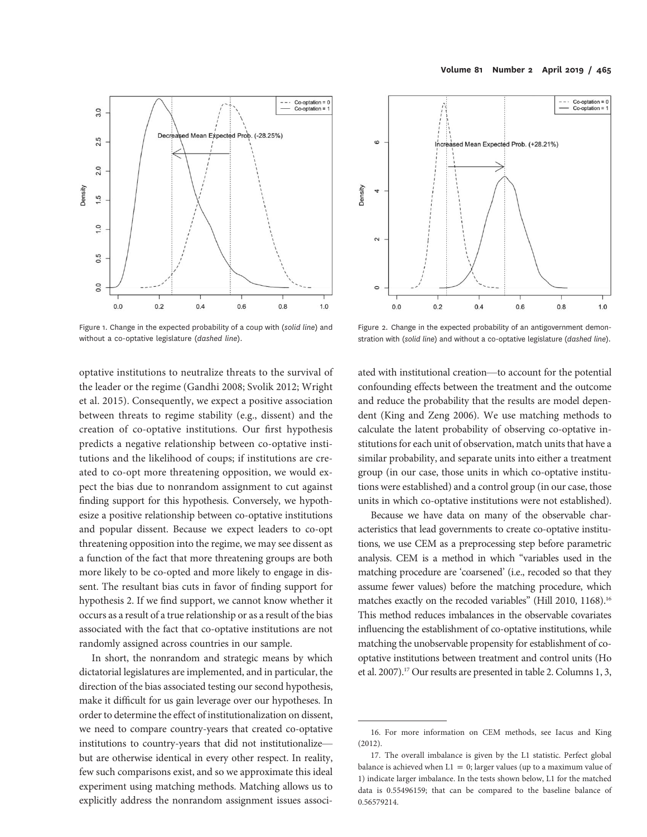

Figure 1. Change in the expected probability of a coup with (solid line) and without a co-optative legislature (dashed line).



In short, the nonrandom and strategic means by which dictatorial legislatures are implemented, and in particular, the direction of the bias associated testing our second hypothesis, make it difficult for us gain leverage over our hypotheses. In order to determine the effect of institutionalization on dissent, we need to compare country-years that created co-optative institutions to country-years that did not institutionalize but are otherwise identical in every other respect. In reality, few such comparisons exist, and so we approximate this ideal experiment using matching methods. Matching allows us to explicitly address the nonrandom assignment issues associ-



Figure 2. Change in the expected probability of an antigovernment demonstration with (solid line) and without a co-optative legislature (dashed line).

ated with institutional creation—to account for the potential confounding effects between the treatment and the outcome and reduce the probability that the results are model dependent (King and Zeng 2006). We use matching methods to calculate the latent probability of observing co-optative institutions for each unit of observation, match units that have a similar probability, and separate units into either a treatment group (in our case, those units in which co-optative institutions were established) and a control group (in our case, those units in which co-optative institutions were not established).

Because we have data on many of the observable characteristics that lead governments to create co-optative institutions, we use CEM as a preprocessing step before parametric analysis. CEM is a method in which "variables used in the matching procedure are 'coarsened' (i.e., recoded so that they assume fewer values) before the matching procedure, which matches exactly on the recoded variables" (Hill 2010, 1168).<sup>16</sup> This method reduces imbalances in the observable covariates influencing the establishment of co-optative institutions, while matching the unobservable propensity for establishment of cooptative institutions between treatment and control units (Ho et al. 2007).17 Our results are presented in table 2. Columns 1, 3,

<sup>16.</sup> For more information on CEM methods, see Iacus and King (2012).

<sup>17.</sup> The overall imbalance is given by the L1 statistic. Perfect global balance is achieved when  $L1 = 0$ ; larger values (up to a maximum value of 1) indicate larger imbalance. In the tests shown below, L1 for the matched data is 0.55496159; that can be compared to the baseline balance of 0.56579214.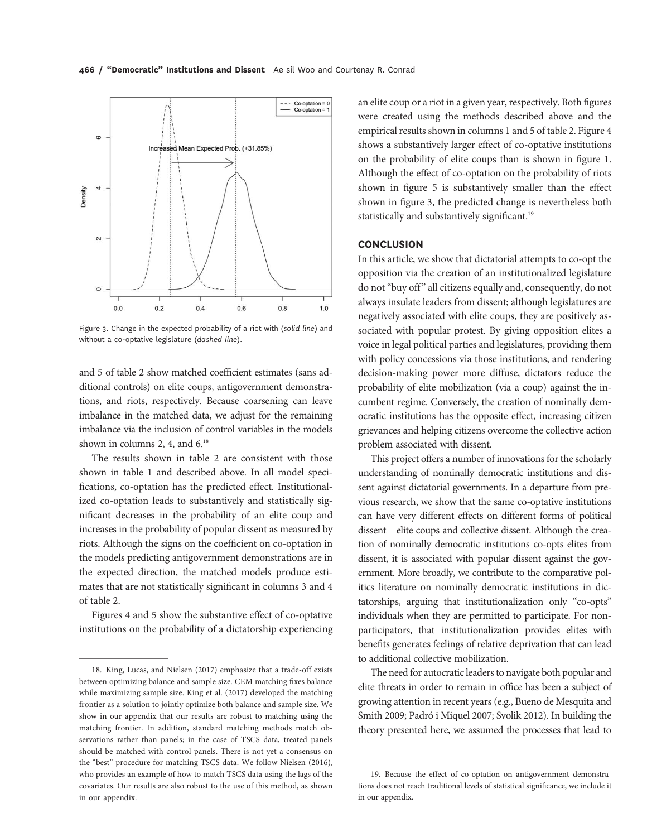

Figure 3. Change in the expected probability of a riot with (solid line) and without a co-optative legislature (dashed line).

and 5 of table 2 show matched coefficient estimates (sans additional controls) on elite coups, antigovernment demonstrations, and riots, respectively. Because coarsening can leave imbalance in the matched data, we adjust for the remaining imbalance via the inclusion of control variables in the models shown in columns 2, 4, and  $6.^{18}$ 

The results shown in table 2 are consistent with those shown in table 1 and described above. In all model specifications, co-optation has the predicted effect. Institutionalized co-optation leads to substantively and statistically significant decreases in the probability of an elite coup and increases in the probability of popular dissent as measured by riots. Although the signs on the coefficient on co-optation in the models predicting antigovernment demonstrations are in the expected direction, the matched models produce estimates that are not statistically significant in columns 3 and 4 of table 2.

Figures 4 and 5 show the substantive effect of co-optative institutions on the probability of a dictatorship experiencing an elite coup or a riot in a given year, respectively. Both figures were created using the methods described above and the empirical results shown in columns 1 and 5 of table 2. Figure 4 shows a substantively larger effect of co-optative institutions on the probability of elite coups than is shown in figure 1. Although the effect of co-optation on the probability of riots shown in figure 5 is substantively smaller than the effect shown in figure 3, the predicted change is nevertheless both statistically and substantively significant.<sup>19</sup>

## **CONCLUSION**

In this article, we show that dictatorial attempts to co-opt the opposition via the creation of an institutionalized legislature do not "buy off" all citizens equally and, consequently, do not always insulate leaders from dissent; although legislatures are negatively associated with elite coups, they are positively associated with popular protest. By giving opposition elites a voice in legal political parties and legislatures, providing them with policy concessions via those institutions, and rendering decision-making power more diffuse, dictators reduce the probability of elite mobilization (via a coup) against the incumbent regime. Conversely, the creation of nominally democratic institutions has the opposite effect, increasing citizen grievances and helping citizens overcome the collective action problem associated with dissent.

This project offers a number of innovations for the scholarly understanding of nominally democratic institutions and dissent against dictatorial governments. In a departure from previous research, we show that the same co-optative institutions can have very different effects on different forms of political dissent—elite coups and collective dissent. Although the creation of nominally democratic institutions co-opts elites from dissent, it is associated with popular dissent against the government. More broadly, we contribute to the comparative politics literature on nominally democratic institutions in dictatorships, arguing that institutionalization only "co-opts" individuals when they are permitted to participate. For nonparticipators, that institutionalization provides elites with benefits generates feelings of relative deprivation that can lead to additional collective mobilization.

The need for autocratic leaders to navigate both popular and elite threats in order to remain in office has been a subject of growing attention in recent years (e.g., Bueno de Mesquita and Smith 2009; Padró i Miquel 2007; Svolik 2012). In building the theory presented here, we assumed the processes that lead to

<sup>18.</sup> King, Lucas, and Nielsen (2017) emphasize that a trade-off exists between optimizing balance and sample size. CEM matching fixes balance while maximizing sample size. King et al. (2017) developed the matching frontier as a solution to jointly optimize both balance and sample size. We show in our appendix that our results are robust to matching using the matching frontier. In addition, standard matching methods match observations rather than panels; in the case of TSCS data, treated panels should be matched with control panels. There is not yet a consensus on the "best" procedure for matching TSCS data. We follow Nielsen (2016), who provides an example of how to match TSCS data using the lags of the covariates. Our results are also robust to the use of this method, as shown in our appendix.

<sup>19.</sup> Because the effect of co-optation on antigovernment demonstrations does not reach traditional levels of statistical significance, we include it in our appendix.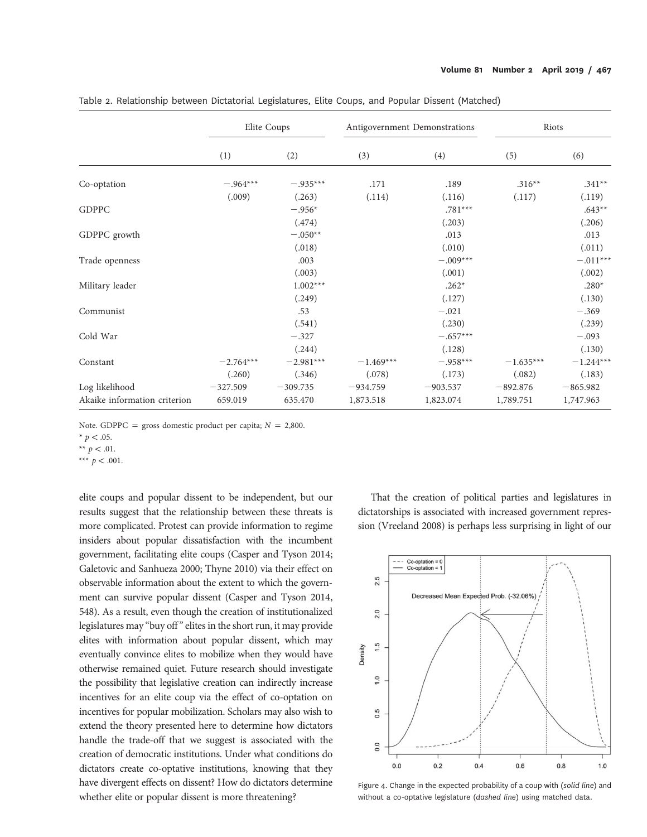|                              | Elite Coups |             | Antigovernment Demonstrations |            | Riots       |             |
|------------------------------|-------------|-------------|-------------------------------|------------|-------------|-------------|
|                              | (1)         | (2)         | (3)                           | (4)        | (5)         | (6)         |
| Co-optation                  | $-.964***$  | $-.935***$  | .171                          | .189       | $.316**$    | $.341**$    |
|                              | (.009)      | (.263)      | (.114)                        | (.116)     | (.117)      | (.119)      |
| <b>GDPPC</b>                 |             | $-.956*$    |                               | $.781***$  |             | $.643**$    |
|                              |             | (.474)      |                               | (.203)     |             | (.206)      |
| GDPPC growth                 |             | $-.050**$   |                               | .013       |             | .013        |
|                              |             | (.018)      |                               | (.010)     |             | (.011)      |
| Trade openness               |             | .003        |                               | $-.009***$ |             | $-.011***$  |
|                              |             | (.003)      |                               | (.001)     |             | (.002)      |
| Military leader              |             | $1.002***$  |                               | $.262*$    |             | $.280*$     |
|                              |             | (.249)      |                               | (.127)     |             | (.130)      |
| Communist                    |             | .53         |                               | $-.021$    |             | $-.369$     |
|                              |             | (.541)      |                               | (.230)     |             | (.239)      |
| Cold War                     |             | $-.327$     |                               | $-.657***$ |             | $-.093$     |
|                              |             | (.244)      |                               | (.128)     |             | (.130)      |
| Constant                     | $-2.764***$ | $-2.981***$ | $-1.469***$                   | $-.958***$ | $-1.635***$ | $-1.244***$ |
|                              | (.260)      | (.346)      | (.078)                        | (.173)     | (.082)      | (.183)      |
| Log likelihood               | $-327.509$  | $-309.735$  | $-934.759$                    | $-903.537$ | $-892.876$  | $-865.982$  |
| Akaike information criterion | 659.019     | 635.470     | 1,873.518                     | 1,823.074  | 1,789.751   | 1,747.963   |

Table 2. Relationship between Dictatorial Legislatures, Elite Coups, and Popular Dissent (Matched)

Note. GDPPC = gross domestic product per capita;  $N = 2,800$ .

\*\*\*  $p < .001$ .

elite coups and popular dissent to be independent, but our results suggest that the relationship between these threats is more complicated. Protest can provide information to regime insiders about popular dissatisfaction with the incumbent government, facilitating elite coups (Casper and Tyson 2014; Galetovic and Sanhueza 2000; Thyne 2010) via their effect on observable information about the extent to which the government can survive popular dissent (Casper and Tyson 2014, 548). As a result, even though the creation of institutionalized legislatures may "buy off" elites in the short run, it may provide elites with information about popular dissent, which may eventually convince elites to mobilize when they would have otherwise remained quiet. Future research should investigate the possibility that legislative creation can indirectly increase incentives for an elite coup via the effect of co-optation on incentives for popular mobilization. Scholars may also wish to extend the theory presented here to determine how dictators handle the trade-off that we suggest is associated with the creation of democratic institutions. Under what conditions do dictators create co-optative institutions, knowing that they have divergent effects on dissent? How do dictators determine whether elite or popular dissent is more threatening?

That the creation of political parties and legislatures in dictatorships is associated with increased government repression (Vreeland 2008) is perhaps less surprising in light of our



Figure 4. Change in the expected probability of a coup with (solid line) and without a co-optative legislature (dashed line) using matched data.

<sup>\*</sup>  $p < .05$ .

<sup>\*\*</sup>  $p < .01$ .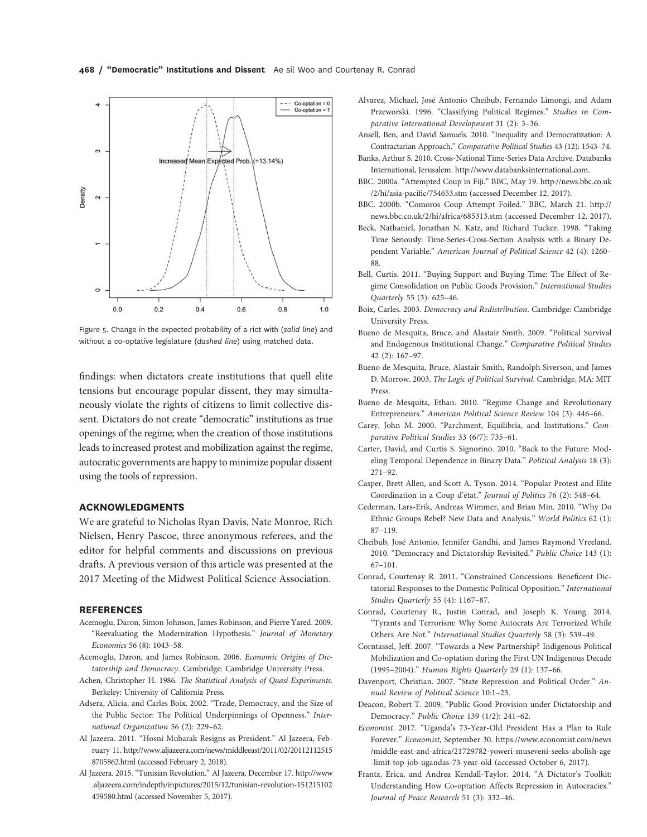

Figure 5. Change in the expected probability of a riot with (solid line) and without a co-optative legislature (dashed line) using matched data.

findings: when dictators create institutions that quell elite tensions but encourage popular dissent, they may simultaneously violate the rights of citizens to limit collective dissent. Dictators do not create "democratic" institutions as true openings of the regime; when the creation of those institutions leads to increased protest and mobilization against the regime, autocratic governments are happy to minimize popular dissent using the tools of repression.

### ACKNOWLEDGMENTS

We are grateful to Nicholas Ryan Davis, Nate Monroe, Rich Nielsen, Henry Pascoe, three anonymous referees, and the editor for helpful comments and discussions on previous drafts. A previous version of this article was presented at the 2017 Meeting of the Midwest Political Science Association.

#### **REFERENCES**

- Acemoglu, Daron, Simon Johnson, James Robinson, and Pierre Yared. 2009. "Reevaluating the Modernization Hypothesis." Journal of Monetary Economics 56 (8): 1043–58.
- Acemoglu, Daron, and James Robinson. 2006. Economic Origins of Dictatorship and Democracy. Cambridge: Cambridge University Press.
- Achen, Christopher H. 1986. The Statistical Analysis of Quasi-Experiments. Berkeley: University of California Press.
- Adsera, Alicia, and Carles Boix. 2002. "Trade, Democracy, and the Size of the Public Sector: The Political Underpinnings of Openness." International Organization 56 (2): 229–62.
- Al Jazeera. 2011. "Hosni Mubarak Resigns as President." Al Jazeera, February 11. http://www.aljazeera.com/news/middleeast/2011/02/20112112515 8705862.html (accessed February 2, 2018).
- Al Jazeera. 2015. "Tunisian Revolution." Al Jazeera, December 17. http://www .aljazeera.com/indepth/inpictures/2015/12/tunisian-revolution-151215102 459580.html (accessed November 5, 2017).
- Alvarez, Michael, José Antonio Cheibub, Fernando Limongi, and Adam Przeworski. 1996. "Classifying Political Regimes." Studies in Comparative International Development 31 (2): 3–36.
- Ansell, Ben, and David Samuels. 2010. "Inequality and Democratization: A Contractarian Approach." Comparative Political Studies 43 (12): 1543–74.
- Banks, Arthur S. 2010. Cross-National Time-Series Data Archive. Databanks International, Jerusalem. http://www.databanksinternational.com.
- BBC. 2000a. "Attempted Coup in Fiji." BBC, May 19. http://news.bbc.co.uk /2/hi/asia-pacific/754653.stm (accessed December 12, 2017).
- BBC. 2000b. "Comoros Coup Attempt Foiled." BBC, March 21. http:// news.bbc.co.uk/2/hi/africa/685313.stm (accessed December 12, 2017).
- Beck, Nathaniel, Jonathan N. Katz, and Richard Tucker. 1998. "Taking Time Seriously: Time-Series-Cross-Section Analysis with a Binary Dependent Variable." American Journal of Political Science 42 (4): 1260– 88.
- Bell, Curtis. 2011. "Buying Support and Buying Time: The Effect of Regime Consolidation on Public Goods Provision." International Studies Quarterly 55 (3): 625–46.
- Boix, Carles. 2003. Democracy and Redistribution. Cambridge: Cambridge University Press.
- Bueno de Mesquita, Bruce, and Alastair Smith. 2009. "Political Survival and Endogenous Institutional Change." Comparative Political Studies 42 (2): 167–97.
- Bueno de Mesquita, Bruce, Alastair Smith, Randolph Siverson, and James D. Morrow. 2003. The Logic of Political Survival. Cambridge, MA: MIT Press.
- Bueno de Mesquita, Ethan. 2010. "Regime Change and Revolutionary Entrepreneurs." American Political Science Review 104 (3): 446–66.
- Carey, John M. 2000. "Parchment, Equilibria, and Institutions." Comparative Political Studies 33 (6/7): 735–61.
- Carter, David, and Curtis S. Signorino. 2010. "Back to the Future: Modeling Temporal Dependence in Binary Data." Political Analysis 18 (3): 271–92.
- Casper, Brett Allen, and Scott A. Tyson. 2014. "Popular Protest and Elite Coordination in a Coup d'état." Journal of Politics 76 (2): 548–64.
- Cederman, Lars-Erik, Andreas Wimmer, and Brian Min. 2010. "Why Do Ethnic Groups Rebel? New Data and Analysis." World Politics 62 (1): 87–119.
- Cheibub, José Antonio, Jennifer Gandhi, and James Raymond Vreeland. 2010. "Democracy and Dictatorship Revisited." Public Choice 143 (1): 67–101.
- Conrad, Courtenay R. 2011. "Constrained Concessions: Beneficent Dictatorial Responses to the Domestic Political Opposition." International Studies Quarterly 55 (4): 1167–87.
- Conrad, Courtenay R., Justin Conrad, and Joseph K. Young. 2014. "Tyrants and Terrorism: Why Some Autocrats Are Terrorized While Others Are Not." International Studies Quarterly 58 (3): 539–49.
- Corntassel, Jeff. 2007. "Towards a New Partnership? Indigenous Political Mobilization and Co-optation during the First UN Indigenous Decade (1995–2004)." Human Rights Quarterly 29 (1): 137–66.
- Davenport, Christian. 2007. "State Repression and Political Order." Annual Review of Political Science 10:1–23.
- Deacon, Robert T. 2009. "Public Good Provision under Dictatorship and Democracy." Public Choice 139 (1/2): 241–62.
- Economist. 2017. "Uganda's 73-Year-Old President Has a Plan to Rule Forever." Economist, September 30. https://www.economist.com/news /middle-east-and-africa/21729782-yoweri-museveni-seeks-abolish-age -limit-top-job-ugandas-73-year-old (accessed October 6, 2017).
- Frantz, Erica, and Andrea Kendall-Taylor. 2014. "A Dictator's Toolkit: Understanding How Co-optation Affects Repression in Autocracies." Journal of Peace Research 51 (3): 332–46.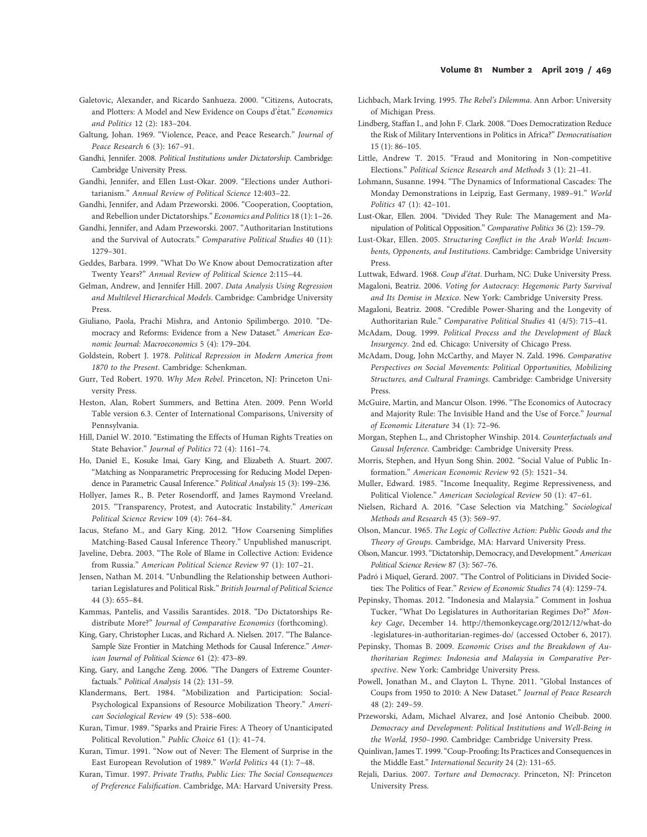- Galetovic, Alexander, and Ricardo Sanhueza. 2000. "Citizens, Autocrats, and Plotters: A Model and New Evidence on Coups d'é́tat." Economics and Politics 12 (2): 183–204.
- Galtung, Johan. 1969. "Violence, Peace, and Peace Research." Journal of Peace Research 6 (3): 167–91.
- Gandhi, Jennifer. 2008. Political Institutions under Dictatorship. Cambridge: Cambridge University Press.
- Gandhi, Jennifer, and Ellen Lust-Okar. 2009. "Elections under Authoritarianism." Annual Review of Political Science 12:403–22.
- Gandhi, Jennifer, and Adam Przeworski. 2006. "Cooperation, Cooptation, and Rebellion under Dictatorships." Economics and Politics 18 (1): 1–26.
- Gandhi, Jennifer, and Adam Przeworski. 2007. "Authoritarian Institutions and the Survival of Autocrats." Comparative Political Studies 40 (11): 1279–301.
- Geddes, Barbara. 1999. "What Do We Know about Democratization after Twenty Years?" Annual Review of Political Science 2:115–44.
- Gelman, Andrew, and Jennifer Hill. 2007. Data Analysis Using Regression and Multilevel Hierarchical Models. Cambridge: Cambridge University Press.
- Giuliano, Paola, Prachi Mishra, and Antonio Spilimbergo. 2010. "Democracy and Reforms: Evidence from a New Dataset." American Economic Journal: Macroeconomics 5 (4): 179–204.
- Goldstein, Robert J. 1978. Political Repression in Modern America from 1870 to the Present. Cambridge: Schenkman.
- Gurr, Ted Robert. 1970. Why Men Rebel. Princeton, NJ: Princeton University Press.
- Heston, Alan, Robert Summers, and Bettina Aten. 2009. Penn World Table version 6.3. Center of International Comparisons, University of Pennsylvania.
- Hill, Daniel W. 2010. "Estimating the Effects of Human Rights Treaties on State Behavior." Journal of Politics 72 (4): 1161–74.
- Ho, Daniel E., Kosuke Imai, Gary King, and Elizabeth A. Stuart. 2007. "Matching as Nonparametric Preprocessing for Reducing Model Dependence in Parametric Causal Inference." Political Analysis 15 (3): 199–236.
- Hollyer, James R., B. Peter Rosendorff, and James Raymond Vreeland. 2015. "Transparency, Protest, and Autocratic Instability." American Political Science Review 109 (4): 764–84.
- Iacus, Stefano M., and Gary King. 2012. "How Coarsening Simplifies Matching-Based Causal Inference Theory." Unpublished manuscript.
- Javeline, Debra. 2003. "The Role of Blame in Collective Action: Evidence from Russia." American Political Science Review 97 (1): 107–21.
- Jensen, Nathan M. 2014. "Unbundling the Relationship between Authoritarian Legislatures and Political Risk." British Journal of Political Science 44 (3): 655–84.
- Kammas, Pantelis, and Vassilis Sarantides. 2018. "Do Dictatorships Redistribute More?" Journal of Comparative Economics (forthcoming).
- King, Gary, Christopher Lucas, and Richard A. Nielsen. 2017. "The Balance-Sample Size Frontier in Matching Methods for Causal Inference." American Journal of Political Science 61 (2): 473–89.
- King, Gary, and Langche Zeng. 2006. "The Dangers of Extreme Counterfactuals." Political Analysis 14 (2): 131-59.
- Klandermans, Bert. 1984. "Mobilization and Participation: Social-Psychological Expansions of Resource Mobilization Theory." American Sociological Review 49 (5): 538–600.
- Kuran, Timur. 1989. "Sparks and Prairie Fires: A Theory of Unanticipated Political Revolution." Public Choice 61 (1): 41–74.
- Kuran, Timur. 1991. "Now out of Never: The Element of Surprise in the East European Revolution of 1989." World Politics 44 (1): 7–48.
- Kuran, Timur. 1997. Private Truths, Public Lies: The Social Consequences of Preference Falsification. Cambridge, MA: Harvard University Press.
- Lichbach, Mark Irving. 1995. The Rebel's Dilemma. Ann Arbor: University of Michigan Press.
- Lindberg, Staffan I., and John F. Clark. 2008. "Does Democratization Reduce the Risk of Military Interventions in Politics in Africa?" Democratisation 15 (1): 86–105.
- Little, Andrew T. 2015. "Fraud and Monitoring in Non-competitive Elections." Political Science Research and Methods 3 (1): 21–41.
- Lohmann, Susanne. 1994. "The Dynamics of Informational Cascades: The Monday Demonstrations in Leipzig, East Germany, 1989–91." World Politics 47 (1): 42–101.
- Lust-Okar, Ellen. 2004. "Divided They Rule: The Management and Manipulation of Political Opposition." Comparative Politics 36 (2): 159–79.
- Lust-Okar, Ellen. 2005. Structuring Conflict in the Arab World: Incumbents, Opponents, and Institutions. Cambridge: Cambridge University Press.
- Luttwak, Edward. 1968. Coup d'état. Durham, NC: Duke University Press.
- Magaloni, Beatriz. 2006. Voting for Autocracy: Hegemonic Party Survival and Its Demise in Mexico. New York: Cambridge University Press.
- Magaloni, Beatriz. 2008. "Credible Power-Sharing and the Longevity of Authoritarian Rule." Comparative Political Studies 41 (4/5): 715–41.
- McAdam, Doug. 1999. Political Process and the Development of Black Insurgency. 2nd ed. Chicago: University of Chicago Press.
- McAdam, Doug, John McCarthy, and Mayer N. Zald. 1996. Comparative Perspectives on Social Movements: Political Opportunities, Mobilizing Structures, and Cultural Framings. Cambridge: Cambridge University Press.
- McGuire, Martin, and Mancur Olson. 1996. "The Economics of Autocracy and Majority Rule: The Invisible Hand and the Use of Force." Journal of Economic Literature 34 (1): 72–96.
- Morgan, Stephen L., and Christopher Winship. 2014. Counterfactuals and Causal Inference. Cambridge: Cambridge University Press.
- Morris, Stephen, and Hyun Song Shin. 2002. "Social Value of Public Information." American Economic Review 92 (5): 1521–34.
- Muller, Edward. 1985. "Income Inequality, Regime Repressiveness, and Political Violence." American Sociological Review 50 (1): 47–61.
- Nielsen, Richard A. 2016. "Case Selection via Matching." Sociological Methods and Research 45 (3): 569–97.
- Olson, Mancur. 1965. The Logic of Collective Action: Public Goods and the Theory of Groups. Cambridge, MA: Harvard University Press.
- Olson, Mancur. 1993."Dictatorship, Democracy, and Development." American Political Science Review 87 (3): 567–76.
- Padró i Miquel, Gerard. 2007. "The Control of Politicians in Divided Societies: The Politics of Fear." Review of Economic Studies 74 (4): 1259–74.
- Pepinsky, Thomas. 2012. "Indonesia and Malaysia." Comment in Joshua Tucker, "What Do Legislatures in Authoritarian Regimes Do?" Monkey Cage, December 14. http://themonkeycage.org/2012/12/what-do -legislatures-in-authoritarian-regimes-do/ (accessed October 6, 2017).
- Pepinsky, Thomas B. 2009. Economic Crises and the Breakdown of Authoritarian Regimes: Indonesia and Malaysia in Comparative Perspective. New York: Cambridge University Press.
- Powell, Jonathan M., and Clayton L. Thyne. 2011. "Global Instances of Coups from 1950 to 2010: A New Dataset." Journal of Peace Research 48 (2): 249–59.
- Przeworski, Adam, Michael Alvarez, and José Antonio Cheibub. 2000. Democracy and Development: Political Institutions and Well-Being in the World, 1950–1990. Cambridge: Cambridge University Press.
- Quinlivan, James T. 1999."Coup-Proofing: Its Practices and Consequences in the Middle East." International Security 24 (2): 131–65.
- Rejali, Darius. 2007. Torture and Democracy. Princeton, NJ: Princeton University Press.